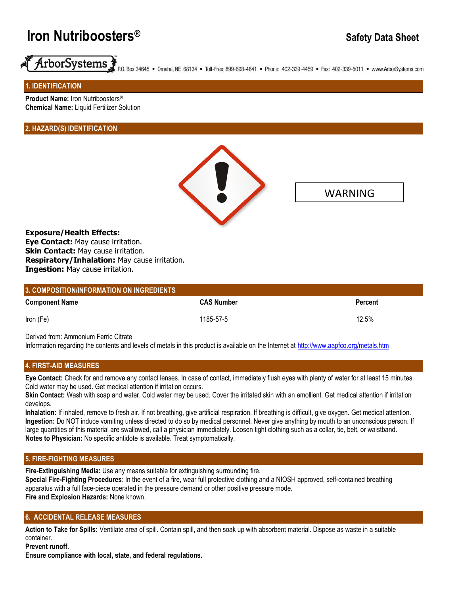# **Iron Nutriboosters® Safety Data Sheet**



P.O. Box 34645 . Omaha, NE 68134 . Toll-Free: 899-698-4641 . Phone: 402-339-4459 . Fax: 402-339-5011 . www.ArborSystems.com

**1. IDENTIFICATION** 

**Product Name:** Iron Nutriboosters® **Chemical Name:** Liquid Fertilizer Solution

# **2. HAZARD(S) IDENTIFICATION**



WARNING

**Exposure/Health Effects: Eye Contact:** May cause irritation. **Skin Contact: May cause irritation. Respiratory/Inhalation:** May cause irritation. **Ingestion:** May cause irritation.

| 3. COMPOSITION/INFORMATION ON INGREDIENTS |                   |                |
|-------------------------------------------|-------------------|----------------|
| <b>Component Name</b>                     | <b>CAS Number</b> | <b>Percent</b> |
| Iron (Fe)                                 | 1185-57-5         | 12.5%          |

Derived from: Ammonium Ferric Citrate

Information regarding the contents and levels of metals in this product is available on the Internet at<http://www.aapfco.org/metals.htm>

# **4. FIRST-AID MEASURES**

**Eye Contact:** Check for and remove any contact lenses. In case of contact, immediately flush eyes with plenty of water for at least 15 minutes. Cold water may be used. Get medical attention if irritation occurs.

**Skin Contact:** Wash with soap and water. Cold water may be used. Cover the irritated skin with an emollient. Get medical attention if irritation develops.

**Inhalation:** If inhaled, remove to fresh air. If not breathing, give artificial respiration. If breathing is difficult, give oxygen. Get medical attention. **Ingestion:** Do NOT induce vomiting unless directed to do so by medical personnel. Never give anything by mouth to an unconscious person. If large quantities of this material are swallowed, call a physician immediately. Loosen tight clothing such as a collar, tie, belt, or waistband. **Notes to Physician:** No specific antidote is available. Treat symptomatically.

#### **5. FIRE-FIGHTING MEASURES**

**Fire-Extinguishing Media:** Use any means suitable for extinguishing surrounding fire. **Special Fire-Fighting Procedures**: In the event of a fire, wear full protective clothing and a NIOSH approved, self-contained breathing apparatus with a full face-piece operated in the pressure demand or other positive pressure mode. **Fire and Explosion Hazards:** None known.

#### **6. ACCIDENTAL RELEASE MEASURES**

**Action to Take for Spills:** Ventilate area of spill. Contain spill, and then soak up with absorbent material. Dispose as waste in a suitable container.

**Prevent runoff.**

**Ensure compliance with local, state, and federal regulations.**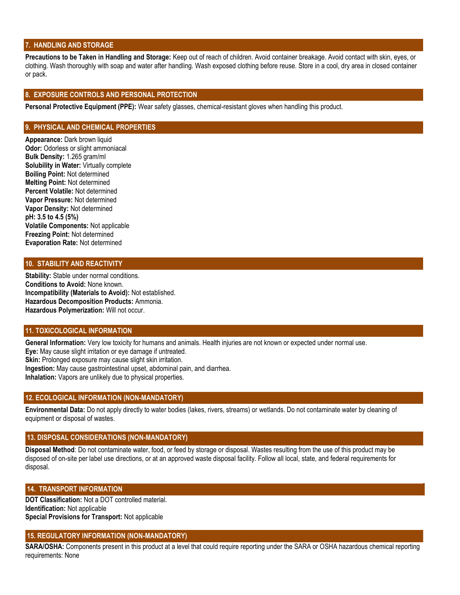#### **7. HANDLING AND STORAGE**

Precautions to be Taken in Handling and Storage: Keep out of reach of children. Avoid container breakage. Avoid contact with skin, eyes, or clothing. Wash thoroughly with soap and water after handling. Wash exposed clothing before reuse. Store in a cool, dry area in closed container or pack.

### **8. EXPOSURE CONTROLS AND PERSONAL PROTECTION**

**Personal Protective Equipment (PPE):** Wear safety glasses, chemical-resistant gloves when handling this product.

#### **9. PHYSICAL AND CHEMICAL PROPERTIES**

**Appearance:** Dark brown liquid **Odor: Odorless or slight ammoniacal Bulk Density:** 1.265 gram/ml **Solubility in Water:** Virtually complete **Boiling Point:** Not determined **Melting Point:** Not determined **Percent Volatile:** Not determined **Vapor Pressure:** Not determined **Vapor Density:** Not determined **pH: 3.5 to 4.5 (5%) Volatile Components:** Not applicable **Freezing Point:** Not determined **Evaporation Rate:** Not determined

#### **10. STABILITY AND REACTIVITY**

**Stability:** Stable under normal conditions. **Conditions to Avoid:** None known. **Incompatibility (Materials to Avoid):** Not established. **Hazardous Decomposition Products:** Ammonia. **Hazardous Polymerization:** Will not occur.

# **11. TOXICOLOGICAL INFORMATION**

**General Information:** Very low toxicity for humans and animals. Health injuries are not known or expected under normal use.

**Eye:** May cause slight irritation or eye damage if untreated.

**Skin:** Prolonged exposure may cause slight skin irritation.

**Ingestion:** May cause gastrointestinal upset, abdominal pain, and diarrhea.

**Inhalation:** Vapors are unlikely due to physical properties.

#### **12. ECOLOGICAL INFORMATION (NON-MANDATORY)**

**Environmental Data:** Do not apply directly to water bodies (lakes, rivers, streams) or wetlands. Do not contaminate water by cleaning of equipment or disposal of wastes.

### **13. DISPOSAL CONSIDERATIONS (NON-MANDATORY)**

**Disposal Method**: Do not contaminate water, food, or feed by storage or disposal. Wastes resulting from the use of this product may be disposed of on-site per label use directions, or at an approved waste disposal facility. Follow all local, state, and federal requirements for disposal.

#### **14. TRANSPORT INFORMATION**

**DOT Classification:** Not a DOT controlled material. **Identification:** Not applicable **Special Provisions for Transport:** Not applicable

#### **15. REGULATORY INFORMATION (NON-MANDATORY)**

**SARA/OSHA:** Components present in this product at a level that could require reporting under the SARA or OSHA hazardous chemical reporting requirements: None